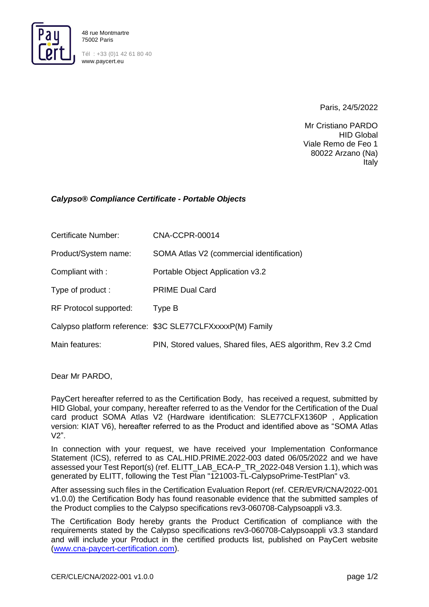

Tél : +33 (0)1 42 61 80 40 www.paycert.eu

Paris, 24/5/2022

Mr Cristiano PARDO HID Global Viale Remo de Feo 1 80022 Arzano (Na) Italy

## *Calypso® Compliance Certificate - Portable Objects*

| Certificate Number:    | CNA-CCPR-00014                                               |
|------------------------|--------------------------------------------------------------|
| Product/System name:   | SOMA Atlas V2 (commercial identification)                    |
| Compliant with:        | Portable Object Application v3.2                             |
| Type of product:       | <b>PRIME Dual Card</b>                                       |
| RF Protocol supported: | Type B                                                       |
|                        | Calypso platform reference: \$3C SLE77CLFXxxxxP(M) Family    |
| Main features:         | PIN, Stored values, Shared files, AES algorithm, Rev 3.2 Cmd |

Dear Mr PARDO,

PayCert hereafter referred to as the Certification Body, has received a request, submitted by HID Global, your company, hereafter referred to as the Vendor for the Certification of the Dual card product SOMA Atlas V2 (Hardware identification: SLE77CLFX1360P , Application version: KIAT V6), hereafter referred to as the Product and identified above as "SOMA Atlas  $V2"$ 

In connection with your request, we have received your Implementation Conformance Statement (ICS), referred to as CAL.HID.PRIME.2022-003 dated 06/05/2022 and we have assessed your Test Report(s) (ref. ELITT\_LAB\_ECA-P\_TR\_2022-048 Version 1.1), which was generated by ELITT, following the Test Plan "121003-TL-CalypsoPrime-TestPlan" v3.

After assessing such files in the Certification Evaluation Report (ref. CER/EVR/CNA/2022-001 v1.0.0) the Certification Body has found reasonable evidence that the submitted samples of the Product complies to the Calypso specifications rev3-060708-Calypsoappli v3.3.

The Certification Body hereby grants the Product Certification of compliance with the requirements stated by the Calypso specifications rev3-060708-Calypsoappli v3.3 standard and will include your Product in the certified products list, published on PayCert website [\(www.cna-paycert-certification.com\)](http://www.cna-paycert-certification.com/).